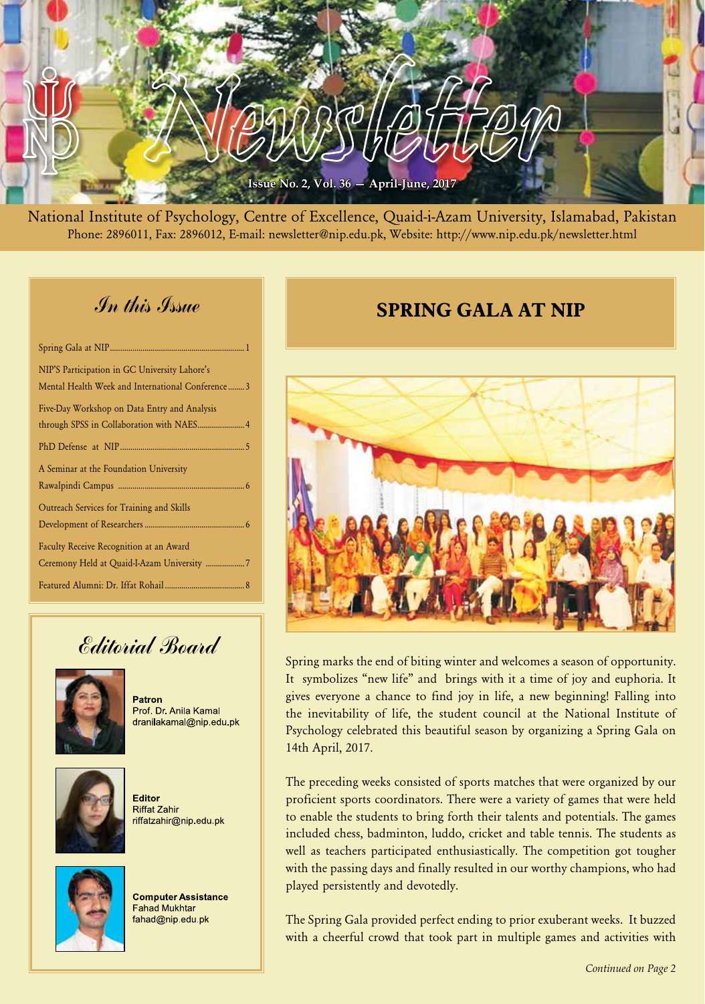

National Institute of Psychology, Centre of Excellence, Quaid-i-Azam University, Islamabad, Pakistan Phone: 2896011, Fax: 2896012, E-mail: newsletter@nip.edu.pk, Website: http://www.nip.edu.pk/newsletter.html

### In this Issue

| NIP'S Participation in GC University Lahore's    |
|--------------------------------------------------|
| Mental Health Week and International Conference3 |
| Five-Day Workshop on Data Entry and Analysis     |
|                                                  |
|                                                  |
| A Seminar at the Foundation University           |
|                                                  |
| Outreach Services for Training and Skills        |
|                                                  |
| Faculty Receive Recognition at an Award          |
| Ceremony Held at Quaid-I-Azam University 7       |
|                                                  |

# Editorial Board



Patron Prof. Dr. Anila Kamal dranilakamal@nip.edu.pk



Editor Riffat Zahir riffatzahir@nip.edu.pk



**Computer Assistance Fahad Mukhtar** fahad@nip.edu.pk

### **SPRING GALA AT NIP**



Spring marks the end of biting winter and welcomes a season of opportunity. It symbolizes "new life" and brings with it a time of joy and euphoria. It gives everyone a chance to find joy in life, a new beginning! Falling into the inevitability of life, the student council at the National Institute of Psychology celebrated this beautiful season by organizing a Spring Gala on 14th April, 2017.

The preceding weeks consisted of sports matches that were organized by our proficient sports coordinators. There were a variety of games that were held to enable the students to bring forth their talents and potentials. The games included chess, badminton, luddo, cricket and table tennis. The students as well as teachers participated enthusiastically. The competition got tougher with the passing days and finally resulted in our worthy champions, who had played persistently and devotedly.

The Spring Gala provided perfect ending to prior exuberant weeks. It buzzed with a cheerful crowd that took part in multiple games and activities with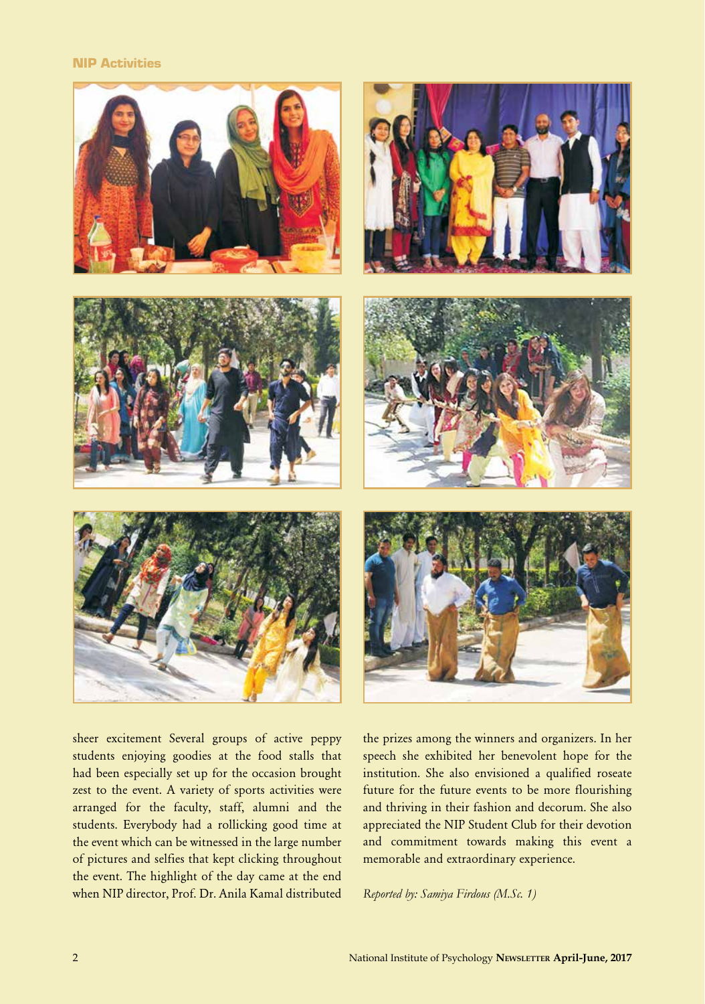#### NIP Activities



sheer excitement Several groups of active peppy students enjoying goodies at the food stalls that had been especially set up for the occasion brought zest to the event. A variety of sports activities were arranged for the faculty, staff, alumni and the students. Everybody had a rollicking good time at the event which can be witnessed in the large number of pictures and selfies that kept clicking throughout the event. The highlight of the day came at the end when NIP director, Prof. Dr. Anila Kamal distributed

the prizes among the winners and organizers. In her speech she exhibited her benevolent hope for the institution. She also envisioned a qualified roseate future for the future events to be more flourishing and thriving in their fashion and decorum. She also appreciated the NIP Student Club for their devotion and commitment towards making this event a memorable and extraordinary experience.

*Reported by: Samiya Firdous (M.Sc. 1)*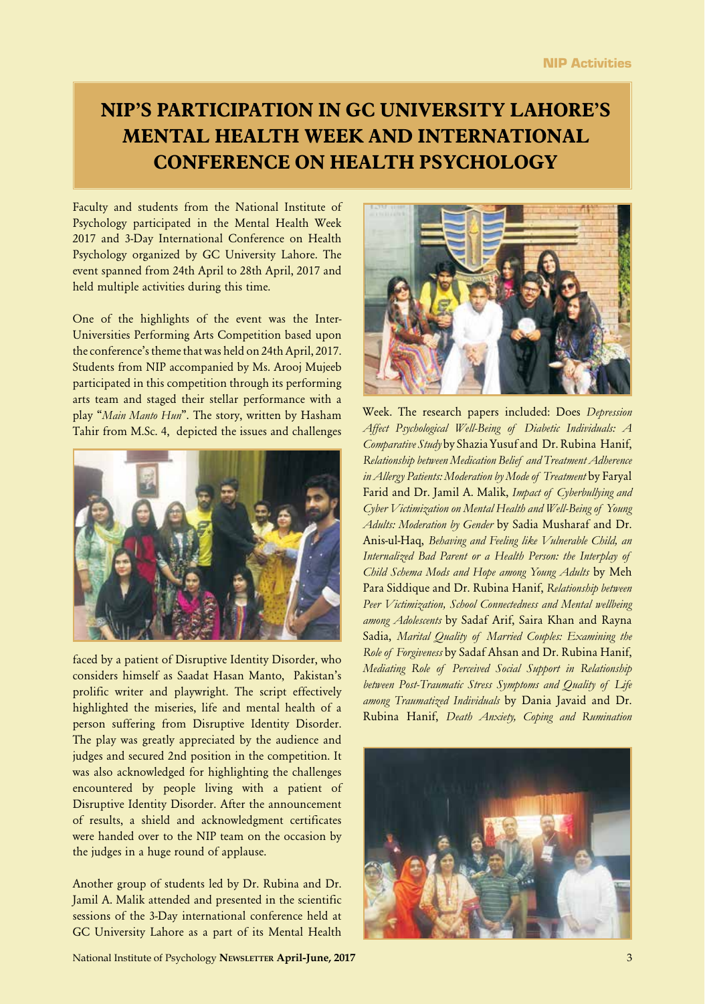# **NIP'S PARTICIPATION IN GC UNIVERSITY LAHORE'S MENTAL HEALTH WEEK AND INTERNATIONAL CONFERENCE ON HEALTH PSYCHOLOGY**

Faculty and students from the National Institute of Psychology participated in the Mental Health Week 2017 and 3-Day International Conference on Health Psychology organized by GC University Lahore. The event spanned from 24th April to 28th April, 2017 and held multiple activities during this time.

One of the highlights of the event was the Inter-Universities Performing Arts Competition based upon the conference's theme that was held on 24th April, 2017. Students from NIP accompanied by Ms. Arooj Mujeeb participated in this competition through its performing arts team and staged their stellar performance with a play "*Main Manto Hun*". The story, written by Hasham Tahir from M.Sc. 4, depicted the issues and challenges



faced by a patient of Disruptive Identity Disorder, who considers himself as Saadat Hasan Manto, Pakistan's prolific writer and playwright. The script effectively highlighted the miseries, life and mental health of a person suffering from Disruptive Identity Disorder. The play was greatly appreciated by the audience and judges and secured 2nd position in the competition. It was also acknowledged for highlighting the challenges encountered by people living with a patient of Disruptive Identity Disorder. After the announcement of results, a shield and acknowledgment certificates were handed over to the NIP team on the occasion by the judges in a huge round of applause.

Another group of students led by Dr. Rubina and Dr. Jamil A. Malik attended and presented in the scientific sessions of the 3-Day international conference held at GC University Lahore as a part of its Mental Health

National Institute of Psychology **Newsletter April-June, 2017** 3



Week. The research papers included: Does *Depression Affect Psychological Well-Being of Diabetic Individuals: A Comparative Study* by Shazia Yusuf and Dr. Rubina Hanif, *Relationship between Medication Belief and Treatment Adherence in Allergy Patients: Moderation by Mode of Treatment* by Faryal Farid and Dr. Jamil A. Malik, *Impact of Cyberbullying and Cyber Victimization on Mental Health and Well-Being of Young Adults: Moderation by Gender* by Sadia Musharaf and Dr. Anis-ul-Haq, *Behaving and Feeling like Vulnerable Child, an Internalized Bad Parent or a Health Person: the Interplay of Child Schema Mods and Hope among Young Adults* by Meh Para Siddique and Dr. Rubina Hanif, *Relationship between Peer Victimization, School Connectedness and Mental wellbeing among Adolescents* by Sadaf Arif, Saira Khan and Rayna Sadia, *Marital Quality of Married Couples: Examining the Role of Forgiveness* by Sadaf Ahsan and Dr. Rubina Hanif, *Mediating Role of Perceived Social Support in Relationship between Post-Traumatic Stress Symptoms and Quality of Life among Traumatized Individuals* by Dania Javaid and Dr. Rubina Hanif, *Death Anxiety, Coping and Rumination* 

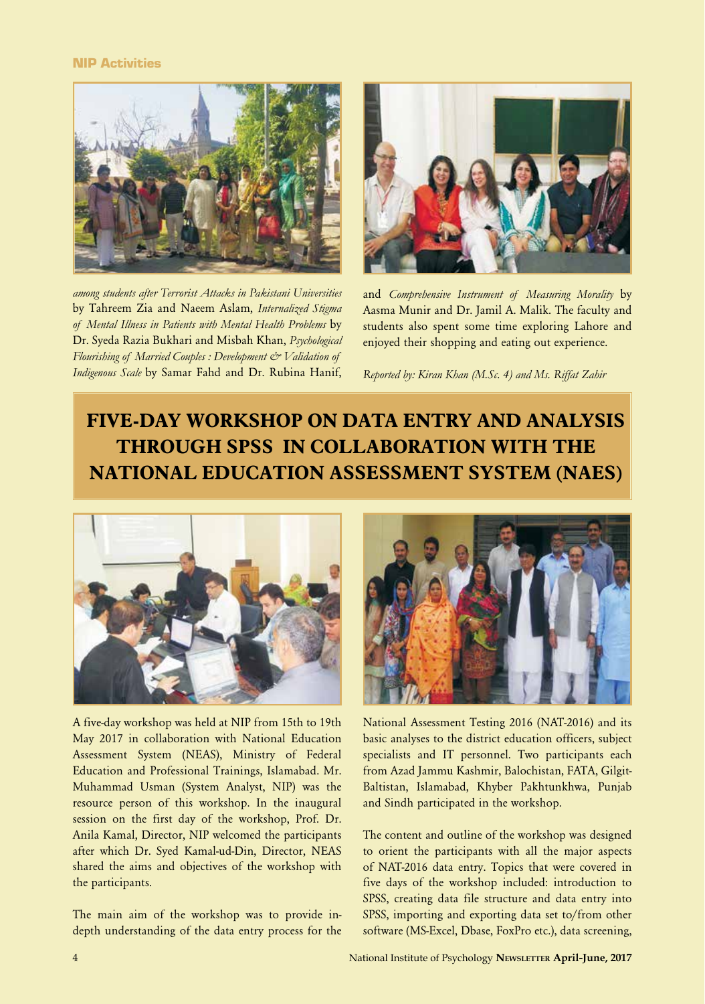#### NIP Activities



*among students after Terrorist Attacks in Pakistani Universities*  by Tahreem Zia and Naeem Aslam, *Internalized Stigma of Mental Illness in Patients with Mental Health Problems* by Dr. Syeda Razia Bukhari and Misbah Khan, *Psychological Flourishing of Married Couples : Development & Validation of Indigenous Scale* by Samar Fahd and Dr. Rubina Hanif,



and *Comprehensive Instrument of Measuring Morality* by Aasma Munir and Dr. Jamil A. Malik. The faculty and students also spent some time exploring Lahore and enjoyed their shopping and eating out experience.

*Reported by: Kiran Khan (M.Sc. 4) and Ms. Riffat Zahir*

# **FIVE-DAY WORKSHOP ON DATA ENTRY AND ANALYSIS THROUGH SPSS IN COLLABORATION WITH THE NATIONAL EDUCATION ASSESSMENT SYSTEM (NAES)**



A five-day workshop was held at NIP from 15th to 19th May 2017 in collaboration with National Education Assessment System (NEAS), Ministry of Federal Education and Professional Trainings, Islamabad. Mr. Muhammad Usman (System Analyst, NIP) was the resource person of this workshop. In the inaugural session on the first day of the workshop, Prof. Dr. Anila Kamal, Director, NIP welcomed the participants after which Dr. Syed Kamal-ud-Din, Director, NEAS shared the aims and objectives of the workshop with the participants.

The main aim of the workshop was to provide indepth understanding of the data entry process for the



National Assessment Testing 2016 (NAT-2016) and its basic analyses to the district education officers, subject specialists and IT personnel. Two participants each from Azad Jammu Kashmir, Balochistan, FATA, Gilgit-Baltistan, Islamabad, Khyber Pakhtunkhwa, Punjab and Sindh participated in the workshop.

The content and outline of the workshop was designed to orient the participants with all the major aspects of NAT-2016 data entry. Topics that were covered in five days of the workshop included: introduction to SPSS, creating data file structure and data entry into SPSS, importing and exporting data set to/from other software (MS-Excel, Dbase, FoxPro etc.), data screening,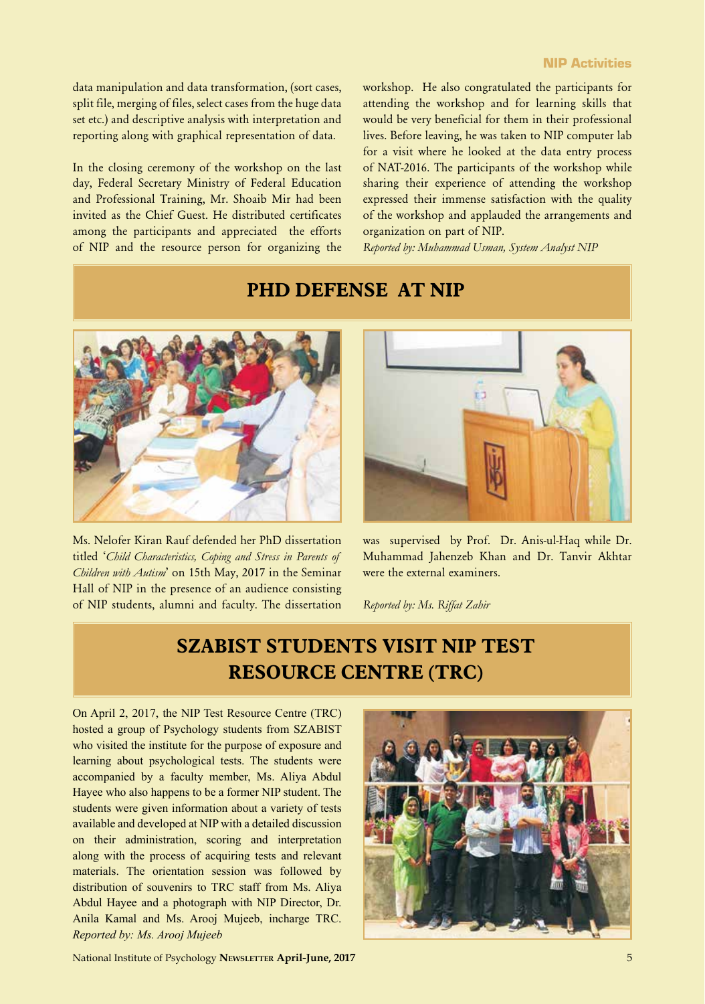data manipulation and data transformation, (sort cases, split file, merging of files, select cases from the huge data set etc.) and descriptive analysis with interpretation and reporting along with graphical representation of data.

In the closing ceremony of the workshop on the last day, Federal Secretary Ministry of Federal Education and Professional Training, Mr. Shoaib Mir had been invited as the Chief Guest. He distributed certificates among the participants and appreciated the efforts of NIP and the resource person for organizing the workshop. He also congratulated the participants for attending the workshop and for learning skills that would be very beneficial for them in their professional lives. Before leaving, he was taken to NIP computer lab for a visit where he looked at the data entry process of NAT-2016. The participants of the workshop while sharing their experience of attending the workshop expressed their immense satisfaction with the quality of the workshop and applauded the arrangements and organization on part of NIP.

*Reported by: Muhammad Usman, System Analyst NIP*

### **PHD DEFENSE AT NIP**



Ms. Nelofer Kiran Rauf defended her PhD dissertation titled '*Child Characteristics, Coping and Stress in Parents of Children with Autism*' on 15th May, 2017 in the Seminar Hall of NIP in the presence of an audience consisting of NIP students, alumni and faculty. The dissertation



was supervised by Prof. Dr. Anis-ul-Haq while Dr. Muhammad Jahenzeb Khan and Dr. Tanvir Akhtar were the external examiners.

*Reported by: Ms. Riffat Zahir*

### **SZABIST STUDENTS VISIT NIP TEST RESOURCE CENTRE (TRC)**

On April 2, 2017, the NIP Test Resource Centre (TRC) hosted a group of Psychology students from SZABIST who visited the institute for the purpose of exposure and learning about psychological tests. The students were accompanied by a faculty member, Ms. Aliya Abdul Hayee who also happens to be a former NIP student. The students were given information about a variety of tests available and developed at NIP with a detailed discussion on their administration, scoring and interpretation along with the process of acquiring tests and relevant materials. The orientation session was followed by distribution of souvenirs to TRC staff from Ms. Aliya Abdul Hayee and a photograph with NIP Director, Dr. Anila Kamal and Ms. Arooj Mujeeb, incharge TRC. *Reported by: Ms. Arooj Mujeeb*



National Institute of Psychology **Newsletter April-June, 2017** 5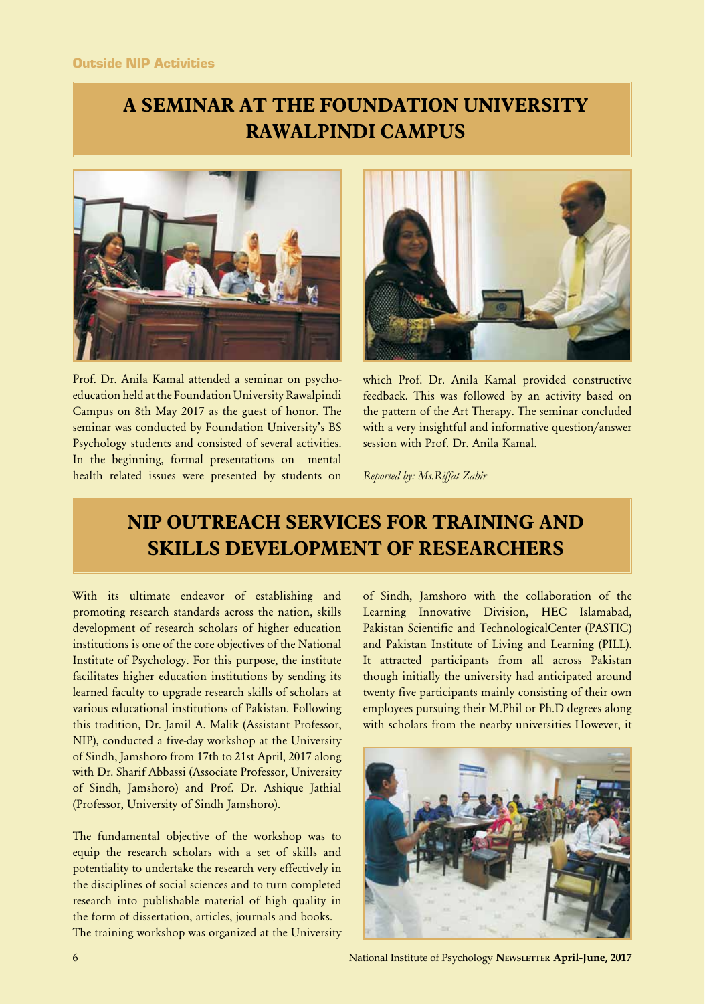# **A SEMINAR AT THE FOUNDATION UNIVERSITY RAWALPINDI CAMPUS**



Prof. Dr. Anila Kamal attended a seminar on psychoeducation held at the Foundation University Rawalpindi Campus on 8th May 2017 as the guest of honor. The seminar was conducted by Foundation University's BS Psychology students and consisted of several activities. In the beginning, formal presentations on mental health related issues were presented by students on



which Prof. Dr. Anila Kamal provided constructive feedback. This was followed by an activity based on the pattern of the Art Therapy. The seminar concluded with a very insightful and informative question/answer session with Prof. Dr. Anila Kamal.

*Reported by: Ms.Riffat Zahir*

### **NIP OUTREACH SERVICES FOR TRAINING AND SKILLS DEVELOPMENT OF RESEARCHERS**

With its ultimate endeavor of establishing and promoting research standards across the nation, skills development of research scholars of higher education institutions is one of the core objectives of the National Institute of Psychology. For this purpose, the institute facilitates higher education institutions by sending its learned faculty to upgrade research skills of scholars at various educational institutions of Pakistan. Following this tradition, Dr. Jamil A. Malik (Assistant Professor, NIP), conducted a five-day workshop at the University of Sindh, Jamshoro from 17th to 21st April, 2017 along with Dr. Sharif Abbassi (Associate Professor, University of Sindh, Jamshoro) and Prof. Dr. Ashique Jathial (Professor, University of Sindh Jamshoro).

The fundamental objective of the workshop was to equip the research scholars with a set of skills and potentiality to undertake the research very effectively in the disciplines of social sciences and to turn completed research into publishable material of high quality in the form of dissertation, articles, journals and books. The training workshop was organized at the University

of Sindh, Jamshoro with the collaboration of the Learning Innovative Division, HEC Islamabad, Pakistan Scientific and TechnologicalCenter (PASTIC) and Pakistan Institute of Living and Learning (PILL). It attracted participants from all across Pakistan though initially the university had anticipated around twenty five participants mainly consisting of their own employees pursuing their M.Phil or Ph.D degrees along with scholars from the nearby universities However, it



6 National Institute of Psychology **Newsletter April-June, 2017**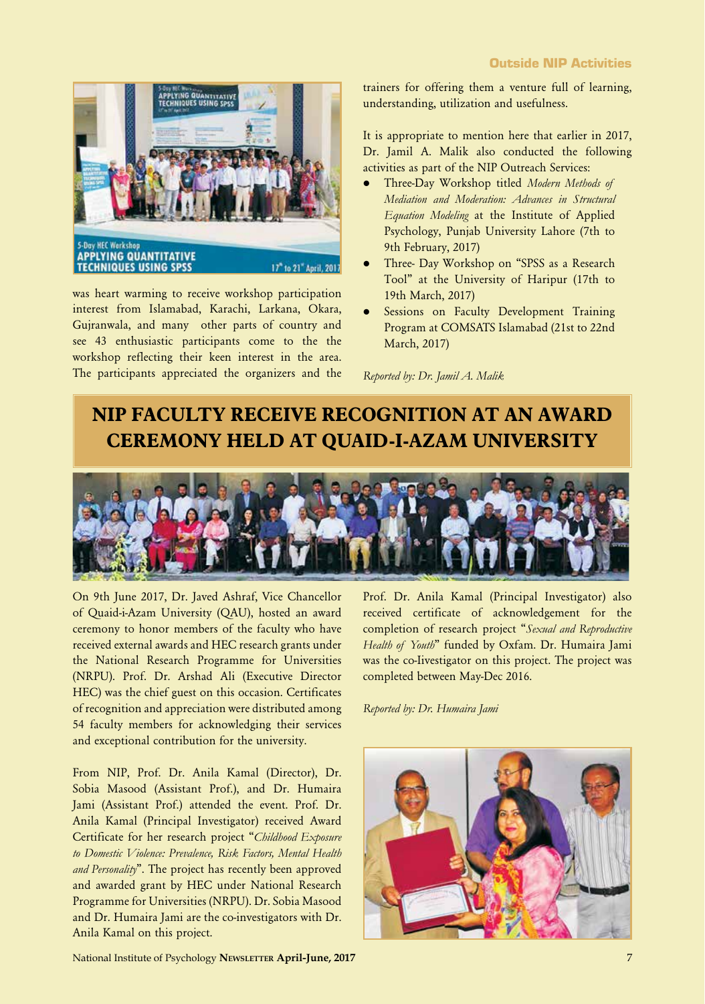

was heart warming to receive workshop participation interest from Islamabad, Karachi, Larkana, Okara, Gujranwala, and many other parts of country and see 43 enthusiastic participants come to the the workshop reflecting their keen interest in the area. The participants appreciated the organizers and the trainers for offering them a venture full of learning, understanding, utilization and usefulness.

It is appropriate to mention here that earlier in 2017, Dr. Jamil A. Malik also conducted the following activities as part of the NIP Outreach Services:

- l Three-Day Workshop titled *Modern Methods of Mediation and Moderation: Advances in Structural Equation Modeling* at the Institute of Applied Psychology, Punjab University Lahore (7th to 9th February, 2017)
- Three- Day Workshop on "SPSS as a Research Tool" at the University of Haripur (17th to 19th March, 2017)
- Sessions on Faculty Development Training Program at COMSATS Islamabad (21st to 22nd March, 2017)

*Reported by: Dr. Jamil A. Malik*

# **NIP FACULTY RECEIVE RECOGNITION AT AN AWARD CEREMONY HELD AT QUAID-I-AZAM UNIVERSITY**



On 9th June 2017, Dr. Javed Ashraf, Vice Chancellor of Quaid-i-Azam University (QAU), hosted an award ceremony to honor members of the faculty who have received external awards and HEC research grants under the National Research Programme for Universities (NRPU). Prof. Dr. Arshad Ali (Executive Director HEC) was the chief guest on this occasion. Certificates of recognition and appreciation were distributed among 54 faculty members for acknowledging their services and exceptional contribution for the university.

From NIP, Prof. Dr. Anila Kamal (Director), Dr. Sobia Masood (Assistant Prof.), and Dr. Humaira Jami (Assistant Prof.) attended the event. Prof. Dr. Anila Kamal (Principal Investigator) received Award Certificate for her research project "*Childhood Exposure to Domestic Violence: Prevalence, Risk Factors, Mental Health and Personality*". The project has recently been approved and awarded grant by HEC under National Research Programme for Universities (NRPU). Dr. Sobia Masood and Dr. Humaira Jami are the co-investigators with Dr. Anila Kamal on this project.

Prof. Dr. Anila Kamal (Principal Investigator) also received certificate of acknowledgement for the completion of research project "*Sexual and Reproductive Health of Youth*" funded by Oxfam. Dr. Humaira Jami was the co-Iivestigator on this project. The project was completed between May-Dec 2016.

*Reported by: Dr. Humaira Jami*



National Institute of Psychology **Newsletter April-June, 2017** 7